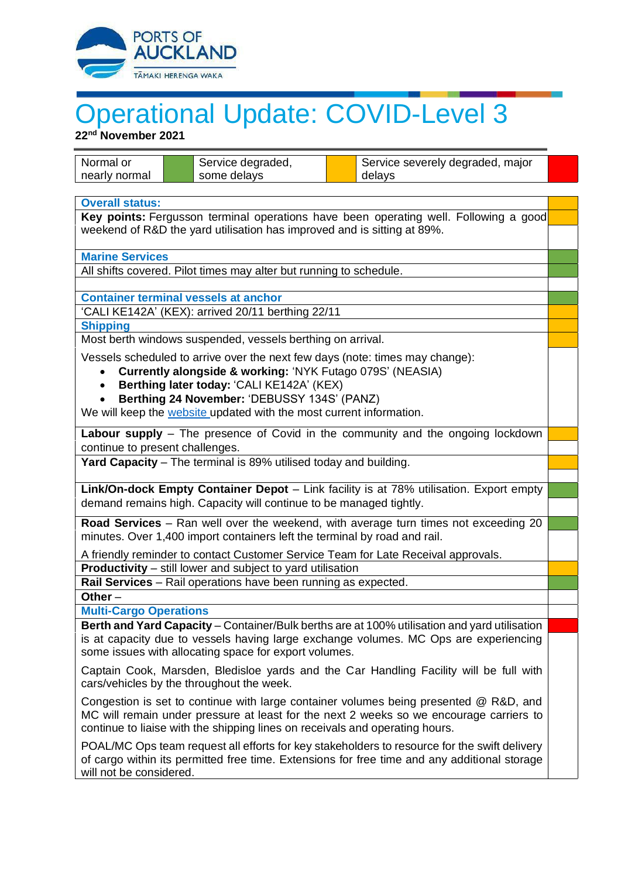

## Operational Update: COVID-Level 3

**22nd November 2021**

| Normal or                                                                                                                                                       | Service degraded,                                                                            | Service severely degraded, major                                                             |  |
|-----------------------------------------------------------------------------------------------------------------------------------------------------------------|----------------------------------------------------------------------------------------------|----------------------------------------------------------------------------------------------|--|
| nearly normal                                                                                                                                                   | some delays                                                                                  | delays                                                                                       |  |
|                                                                                                                                                                 |                                                                                              |                                                                                              |  |
| <b>Overall status:</b>                                                                                                                                          |                                                                                              |                                                                                              |  |
| Key points: Fergusson terminal operations have been operating well. Following a good<br>weekend of R&D the yard utilisation has improved and is sitting at 89%. |                                                                                              |                                                                                              |  |
|                                                                                                                                                                 |                                                                                              |                                                                                              |  |
| <b>Marine Services</b>                                                                                                                                          |                                                                                              |                                                                                              |  |
|                                                                                                                                                                 | All shifts covered. Pilot times may alter but running to schedule.                           |                                                                                              |  |
|                                                                                                                                                                 |                                                                                              |                                                                                              |  |
| <b>Container terminal vessels at anchor</b>                                                                                                                     |                                                                                              |                                                                                              |  |
| 'CALI KE142A' (KEX): arrived 20/11 berthing 22/11                                                                                                               |                                                                                              |                                                                                              |  |
| <b>Shipping</b>                                                                                                                                                 |                                                                                              |                                                                                              |  |
| Most berth windows suspended, vessels berthing on arrival.                                                                                                      |                                                                                              |                                                                                              |  |
| Vessels scheduled to arrive over the next few days (note: times may change):                                                                                    |                                                                                              |                                                                                              |  |
| Currently alongside & working: 'NYK Futago 079S' (NEASIA)                                                                                                       |                                                                                              |                                                                                              |  |
| Berthing later today: 'CALI KE142A' (KEX)                                                                                                                       |                                                                                              |                                                                                              |  |
| Berthing 24 November: 'DEBUSSY 134S' (PANZ)                                                                                                                     |                                                                                              |                                                                                              |  |
|                                                                                                                                                                 | We will keep the website updated with the most current information.                          |                                                                                              |  |
|                                                                                                                                                                 |                                                                                              | Labour supply - The presence of Covid in the community and the ongoing lockdown              |  |
| continue to present challenges.                                                                                                                                 |                                                                                              |                                                                                              |  |
|                                                                                                                                                                 | Yard Capacity - The terminal is 89% utilised today and building.                             |                                                                                              |  |
|                                                                                                                                                                 |                                                                                              |                                                                                              |  |
|                                                                                                                                                                 |                                                                                              | Link/On-dock Empty Container Depot - Link facility is at 78% utilisation. Export empty       |  |
|                                                                                                                                                                 | demand remains high. Capacity will continue to be managed tightly.                           |                                                                                              |  |
| Road Services - Ran well over the weekend, with average turn times not exceeding 20                                                                             |                                                                                              |                                                                                              |  |
| minutes. Over 1,400 import containers left the terminal by road and rail.                                                                                       |                                                                                              |                                                                                              |  |
| A friendly reminder to contact Customer Service Team for Late Receival approvals.                                                                               |                                                                                              |                                                                                              |  |
|                                                                                                                                                                 | <b>Productivity</b> – still lower and subject to yard utilisation                            |                                                                                              |  |
| Rail Services - Rail operations have been running as expected.                                                                                                  |                                                                                              |                                                                                              |  |
| Other $-$                                                                                                                                                       |                                                                                              |                                                                                              |  |
| <b>Multi-Cargo Operations</b>                                                                                                                                   |                                                                                              |                                                                                              |  |
|                                                                                                                                                                 | Berth and Yard Capacity - Container/Bulk berths are at 100% utilisation and yard utilisation |                                                                                              |  |
| is at capacity due to vessels having large exchange volumes. MC Ops are experiencing                                                                            |                                                                                              |                                                                                              |  |
|                                                                                                                                                                 | some issues with allocating space for export volumes.                                        |                                                                                              |  |
|                                                                                                                                                                 |                                                                                              | Captain Cook, Marsden, Bledisloe yards and the Car Handling Facility will be full with       |  |
|                                                                                                                                                                 | cars/vehicles by the throughout the week.                                                    |                                                                                              |  |
| Congestion is set to continue with large container volumes being presented @ R&D, and                                                                           |                                                                                              |                                                                                              |  |
| MC will remain under pressure at least for the next 2 weeks so we encourage carriers to                                                                         |                                                                                              |                                                                                              |  |
|                                                                                                                                                                 | continue to liaise with the shipping lines on receivals and operating hours.                 |                                                                                              |  |
|                                                                                                                                                                 |                                                                                              | POAL/MC Ops team request all efforts for key stakeholders to resource for the swift delivery |  |
| of cargo within its permitted free time. Extensions for free time and any additional storage                                                                    |                                                                                              |                                                                                              |  |
|                                                                                                                                                                 | will not be considered.                                                                      |                                                                                              |  |
|                                                                                                                                                                 |                                                                                              |                                                                                              |  |